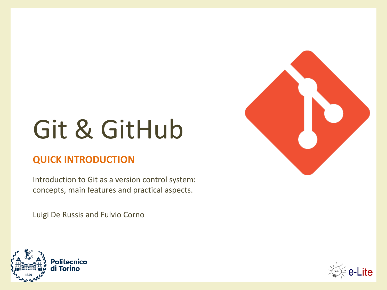# Git & GitHub

### **QUICK INTRODUCTION**

Introduction to Git as a version control system: concepts, main features and practical aspects.

Luigi De Russis and Fulvio Corno





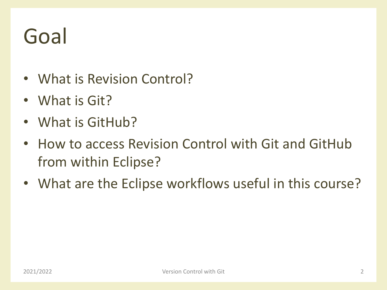## Goal

- What is Revision Control?
- What is Git?
- What is GitHub?
- How to access Revision Control with Git and GitHub from within Eclipse?
- What are the Eclipse workflows useful in this course?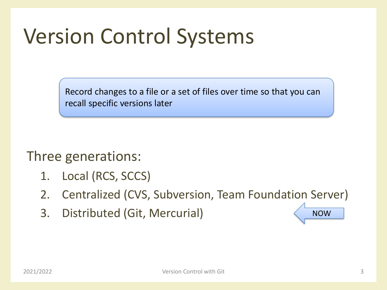## Version Control Systems

Record changes to a file or a set of files over time so that you can recall specific versions later

Three generations:

- 1. Local (RCS, SCCS)
- 2. Centralized (CVS, Subversion, Team Foundation Server)
- 3. Distributed (Git, Mercurial)

NOW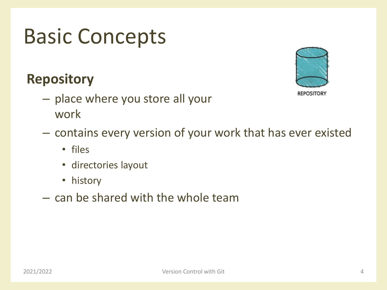## **Repository**

- place where you store all your work
- contains every version of your work that has ever existed
	- files
	- directories layout
	- history
- can be shared with the whole team



**REPOSITORY**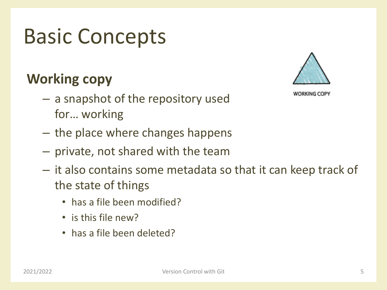## **Working copy**

**WORKING COPY** 

- a snapshot of the repository used for… working
- the place where changes happens
- private, not shared with the team
- it also contains some metadata so that it can keep track of the state of things
	- has a file been modified?
	- is this file new?
	- has a file been deleted?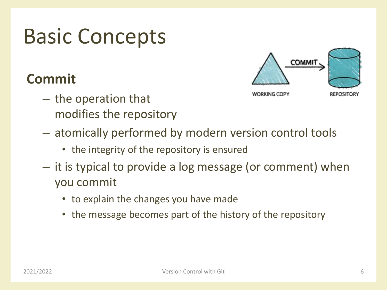## **Commit**

- the operation that modifies the repository
- atomically performed by modern version control tools
	- the integrity of the repository is ensured
- it is typical to provide a log message (or comment) when you commit
	- to explain the changes you have made
	- the message becomes part of the history of the repository

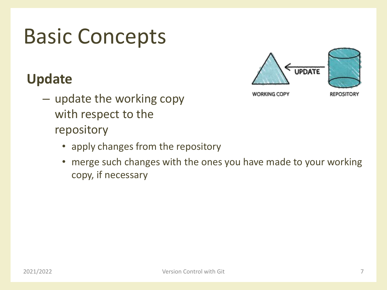## **Update**

- update the working copy with respect to the repository
	- apply changes from the repository
	- merge such changes with the ones you have made to your working copy, if necessary

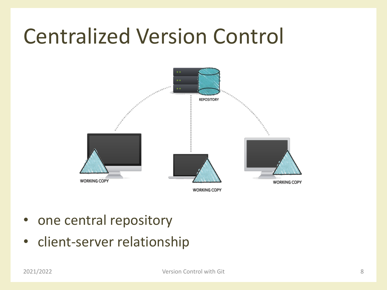## Centralized Version Control



- one central repository
- client-server relationship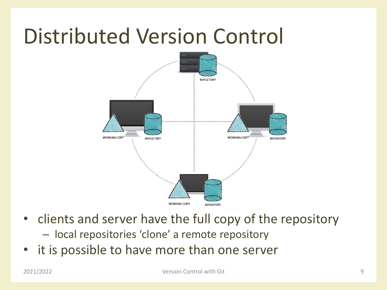## Distributed Version Control



- clients and server have the full copy of the repository
	- local repositories 'clone' a remote repository
- it is possible to have more than one server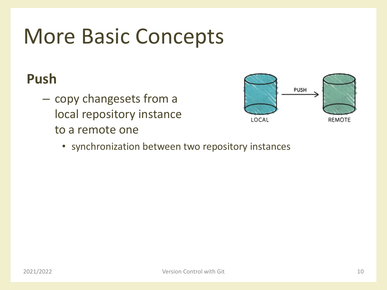## More Basic Concepts

## **Push**

– copy changesets from a local repository instance to a remote one



• synchronization between two repository instances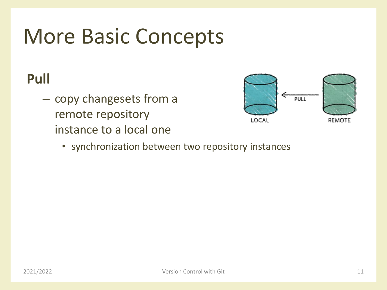## More Basic Concepts

## **Pull**

– copy changesets from a remote repository instance to a local one



• synchronization between two repository instances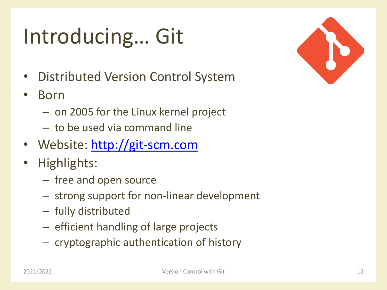# Introducing… Git

- Distributed Version Control System
- Born
	- on 2005 for the Linux kernel project
	- to be used via command line
- Website: [http://git-scm.com](http://git-scm.com/)
- Highlights:
	- free and open source
	- strong support for non-linear development
	- fully distributed
	- efficient handling of large projects
	- cryptographic authentication of history

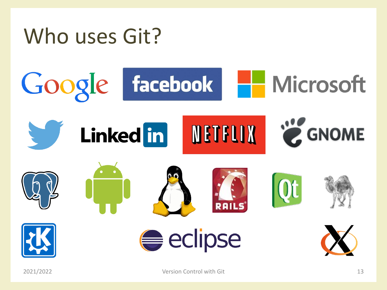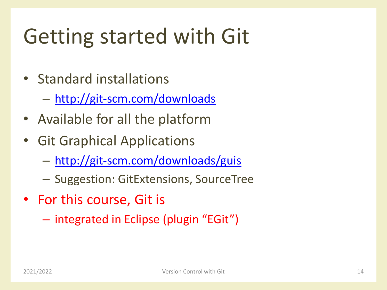# Getting started with Git

- Standard installations
	- <http://git-scm.com/downloads>
- Available for all the platform
- Git Graphical Applications
	- <http://git-scm.com/downloads/guis>
	- Suggestion: GitExtensions, SourceTree
- For this course, Git is
	- integrated in Eclipse (plugin "EGit")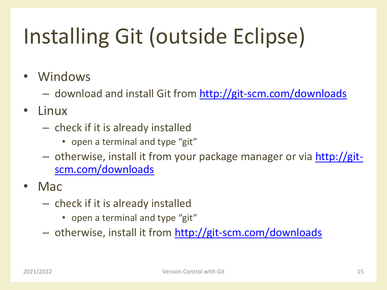# Installing Git (outside Eclipse)

- Windows
	- download and install Git from<http://git-scm.com/downloads>
- Linux
	- check if it is already installed
		- open a terminal and type "git"
	- [otherwise, install it from your package manager or via http://git](http://git-scm.com/downloads)scm.com/downloads
- Mac
	- check if it is already installed
		- open a terminal and type "git"
	- otherwise, install it from <http://git-scm.com/downloads>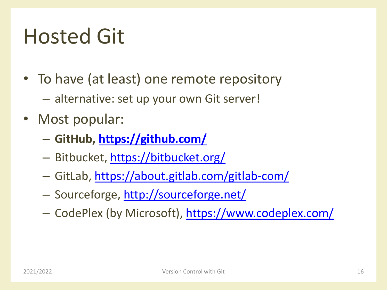## Hosted Git

- To have (at least) one remote repository
	- alternative: set up your own Git server!
- Most popular:
	- **GitHub, <https://github.com/>**
	- Bitbucket,<https://bitbucket.org/>
	- GitLab,<https://about.gitlab.com/gitlab-com/>
	- Sourceforge, <http://sourceforge.net/>
	- CodePlex (by Microsoft),<https://www.codeplex.com/>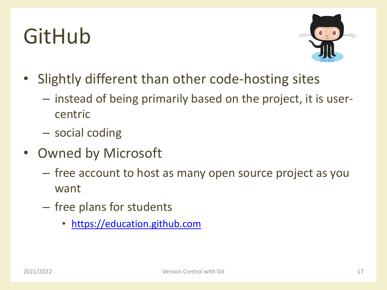## GitHub



- Slightly different than other code-hosting sites
	- instead of being primarily based on the project, it is usercentric
	- social coding
- Owned by Microsoft
	- free account to host as many open source project as you want
	- free plans for students
		- [https://education.github.com](https://education.github.com/)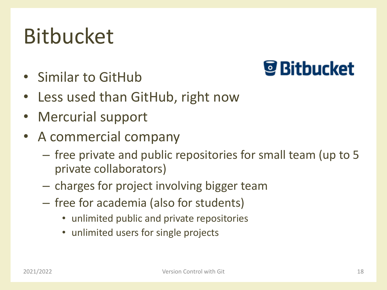## Bitbucket

• Similar to GitHub

## *S* Bitbucket

- Less used than GitHub, right now
- Mercurial support
- A commercial company
	- free private and public repositories for small team (up to 5 private collaborators)
	- charges for project involving bigger team
	- free for academia (also for students)
		- unlimited public and private repositories
		- unlimited users for single projects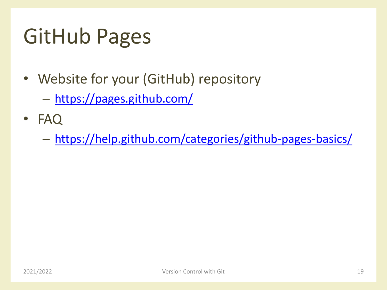## GitHub Pages

- Website for your (GitHub) repository
	- <https://pages.github.com/>
- FAQ
	- <https://help.github.com/categories/github-pages-basics/>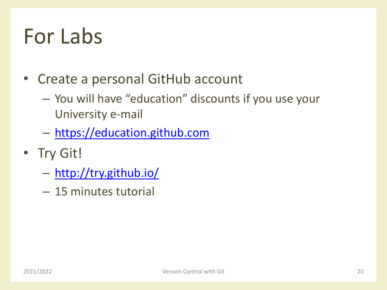## For Labs

- Create a personal GitHub account
	- You will have "education" discounts if you use your University e-mail
	- [https://education.github.com](https://education.github.com/)
- Try Git!
	- <http://try.github.io/>
	- 15 minutes tutorial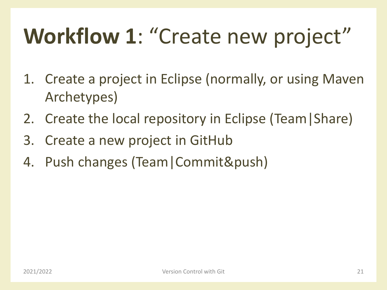# **Workflow 1**: "Create new project"

- 1. Create a project in Eclipse (normally, or using Maven Archetypes)
- 2. Create the local repository in Eclipse (Team|Share)
- 3. Create a new project in GitHub
- 4. Push changes (Team|Commit&push)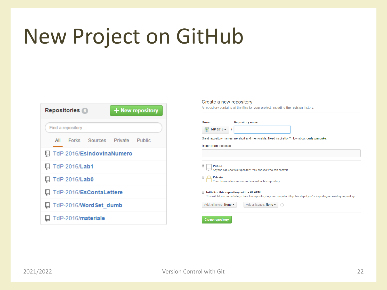## New Project on GitHub

| <b>Repositories</b> 6 |                      |                                  | + New repository |  |  |
|-----------------------|----------------------|----------------------------------|------------------|--|--|
| Find a repository     |                      |                                  |                  |  |  |
|                       |                      | All Forks Sources Private Public |                  |  |  |
|                       |                      | TdP-2016/EsindovinaNumero        |                  |  |  |
|                       | $\Box$ TdP-2016/Lab1 |                                  |                  |  |  |
|                       | <b>TdP-2016/Lab0</b> |                                  |                  |  |  |
|                       |                      | TdP-2016/EsContaLettere          |                  |  |  |
|                       |                      | TdP-2016/Word Set dumb           |                  |  |  |
|                       |                      | TdP-2016/materiale               |                  |  |  |

### Create a new repository

A repository contains all the files for your project, including the revision history.

|                                           | <b>Repository name</b>                                                                                                                                                      |
|-------------------------------------------|-----------------------------------------------------------------------------------------------------------------------------------------------------------------------------|
| $\frac{$8}{$2}$ TdP-2016 $\star$          |                                                                                                                                                                             |
|                                           | Great repository names are short and memorable. Need inspiration? How about curly-pancake.                                                                                  |
| <b>Description (optional)</b>             |                                                                                                                                                                             |
|                                           |                                                                                                                                                                             |
|                                           |                                                                                                                                                                             |
|                                           |                                                                                                                                                                             |
| <b>Public</b>                             |                                                                                                                                                                             |
|                                           | Anyone can see this repository. You choose who can commit.                                                                                                                  |
| Private                                   |                                                                                                                                                                             |
|                                           | You choose who can see and commit to this repository.                                                                                                                       |
|                                           |                                                                                                                                                                             |
|                                           | Initialize this repository with a README<br>This will let you immediately clone the repository to your computer. Skip this step if you're importing an existing repository. |
|                                           |                                                                                                                                                                             |
| ۰<br>$\bigcirc$<br>Add .gitignore: None - | Add a license: None -<br>G)                                                                                                                                                 |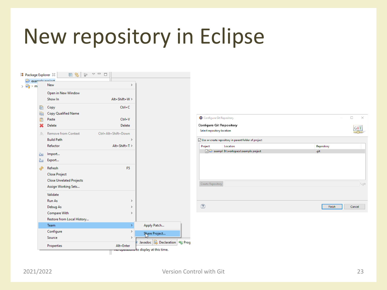## New repository in Eclipse

| $\rightarrow$ $\mathbb{G}_{\mathbb{J}}$ > m                                                                                                                                                                                                                                                                                                         | example project<br>New          | $\,$                |                                            |                                                        |            |
|-----------------------------------------------------------------------------------------------------------------------------------------------------------------------------------------------------------------------------------------------------------------------------------------------------------------------------------------------------|---------------------------------|---------------------|--------------------------------------------|--------------------------------------------------------|------------|
|                                                                                                                                                                                                                                                                                                                                                     | Open in New Window              |                     |                                            |                                                        |            |
|                                                                                                                                                                                                                                                                                                                                                     | Show In                         | Alt+Shift+W >       |                                            |                                                        |            |
| B                                                                                                                                                                                                                                                                                                                                                   | Copy                            | $Ctrl + C$          |                                            |                                                        |            |
| 圉                                                                                                                                                                                                                                                                                                                                                   | Copy Qualified Name             |                     |                                            |                                                        |            |
| 情                                                                                                                                                                                                                                                                                                                                                   | Paste                           | $Ctrl + V$          |                                            | Configure Git Repository                               |            |
|                                                                                                                                                                                                                                                                                                                                                     | Delete<br>Delete                |                     |                                            | <b>Configure Git Repository</b>                        |            |
| $\begin{picture}(20,20) \put(0,0){\line(1,0){10}} \put(15,0){\line(1,0){10}} \put(15,0){\line(1,0){10}} \put(15,0){\line(1,0){10}} \put(15,0){\line(1,0){10}} \put(15,0){\line(1,0){10}} \put(15,0){\line(1,0){10}} \put(15,0){\line(1,0){10}} \put(15,0){\line(1,0){10}} \put(15,0){\line(1,0){10}} \put(15,0){\line(1,0){10}} \put(15,0){\line(1$ | Remove from Context             | Ctrl+Alt+Shift+Down |                                            | Select repository location                             |            |
|                                                                                                                                                                                                                                                                                                                                                     | <b>Build Path</b>               | $\rightarrow$       |                                            | ○ Use or create repository in parent folder of project |            |
|                                                                                                                                                                                                                                                                                                                                                     | Refactor                        | Alt+Shift+T>        |                                            | Location<br>Project                                    | Repository |
|                                                                                                                                                                                                                                                                                                                                                     | Import                          |                     |                                            | exampl D:\workspace\example project                    | .git       |
| è<br>Ņ,                                                                                                                                                                                                                                                                                                                                             | Export                          |                     |                                            |                                                        |            |
|                                                                                                                                                                                                                                                                                                                                                     |                                 |                     |                                            |                                                        |            |
| S.                                                                                                                                                                                                                                                                                                                                                  | Refresh                         | F <sub>5</sub>      |                                            |                                                        |            |
|                                                                                                                                                                                                                                                                                                                                                     | <b>Close Project</b>            |                     |                                            |                                                        |            |
|                                                                                                                                                                                                                                                                                                                                                     | <b>Close Unrelated Projects</b> |                     |                                            | Create Repository                                      |            |
|                                                                                                                                                                                                                                                                                                                                                     | Assign Working Sets             |                     |                                            |                                                        |            |
|                                                                                                                                                                                                                                                                                                                                                     | Validate                        |                     |                                            |                                                        |            |
|                                                                                                                                                                                                                                                                                                                                                     | Run As                          | $\rightarrow$       |                                            |                                                        |            |
|                                                                                                                                                                                                                                                                                                                                                     | Debug As                        | $\rightarrow$       |                                            | $\circledcirc$                                         | Finish     |
|                                                                                                                                                                                                                                                                                                                                                     | Compare With                    | $\rightarrow$       |                                            |                                                        |            |
|                                                                                                                                                                                                                                                                                                                                                     | Restore from Local History      |                     |                                            |                                                        |            |
|                                                                                                                                                                                                                                                                                                                                                     | Team                            | ×                   | Apply Patch                                |                                                        |            |
|                                                                                                                                                                                                                                                                                                                                                     | Configure                       | $\,>\,$             | Share Project                              |                                                        |            |
|                                                                                                                                                                                                                                                                                                                                                     | Source                          | $\rightarrow$       |                                            |                                                        |            |
|                                                                                                                                                                                                                                                                                                                                                     | Properties                      | Alt+Enter           | Javadoc <b>B</b> Declaration <b>B</b> Prog |                                                        |            |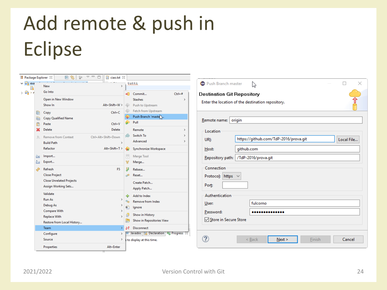## Add remote & push in Eclipse



| Push Branch master<br>×                                                                                                                                                                                                        |
|--------------------------------------------------------------------------------------------------------------------------------------------------------------------------------------------------------------------------------|
| <b>Destination Git Repository</b><br>Enter the location of the destination repository.                                                                                                                                         |
| Remote name:<br>origin<br>Location<br>https://github.com/TdP-2016/prova.git<br>Local File<br>URI:<br>github.com<br>Host:<br>Repository path:   /TdP-2016/prova.git<br>Connection<br>Protocol: https<br>Port:<br>Authentication |
| fulcorno<br>User:<br>Password:<br>Store in Secure Store                                                                                                                                                                        |
| Cancel<br>Next<br>Finish<br>$<$ Back                                                                                                                                                                                           |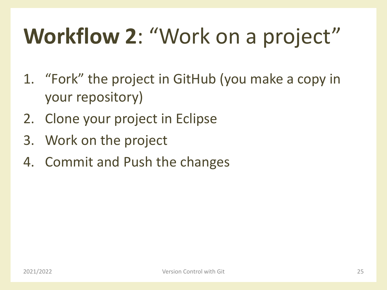# **Workflow 2**: "Work on a project"

- 1. "Fork" the project in GitHub (you make a copy in your repository)
- 2. Clone your project in Eclipse
- 3. Work on the project
- 4. Commit and Push the changes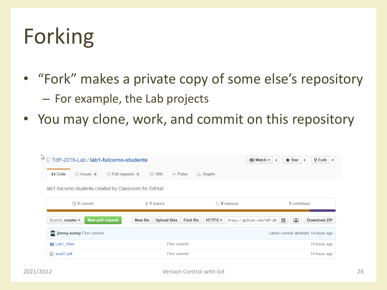## Forking

- "Fork" makes a private copy of some else's repository – For example, the Lab projects
- You may clone, work, and commit on this repository

|                                                                |                                                     | $\odot$ Watch $\sim$                   | $\sqrt{2}$ Fork<br>$\bigstar$ Star<br>$\overline{\mathbf{0}}$<br>$\overline{2}$<br>$\bf{0}$ |  |  |  |  |  |  |  |
|----------------------------------------------------------------|-----------------------------------------------------|----------------------------------------|---------------------------------------------------------------------------------------------|--|--|--|--|--|--|--|
| <> Code<br>$\hat{y}$ Pull requests 0<br>$\circ$ Issues $\circ$ | ≣≣ Wiki<br>-/⊢ Pulse                                | $\left  \cdot \right $ Graphs          |                                                                                             |  |  |  |  |  |  |  |
| lab1-fulcorno-studente created by Classroom for GitHub         |                                                     |                                        |                                                                                             |  |  |  |  |  |  |  |
| $\odot$ 1 commit                                               | $$9$ 1 branch                                       | $\circledcirc$ 0 releases              | 1 contributor                                                                               |  |  |  |  |  |  |  |
| <b>New pull request</b><br>Branch: master -                    | <b>Find file</b><br>New file<br><b>Upload files</b> | $HTIPS -$<br>https://github.com/TdP-20 | 皀<br>中<br><b>Download ZIP</b>                                                               |  |  |  |  |  |  |  |
| Jimmy-sonny First commit                                       |                                                     |                                        | Latest commit db49503 14 hours ago                                                          |  |  |  |  |  |  |  |
|                                                                |                                                     |                                        |                                                                                             |  |  |  |  |  |  |  |
| <b>Lab1</b> Alien                                              | <b>First commit</b>                                 |                                        | 14 hours ago                                                                                |  |  |  |  |  |  |  |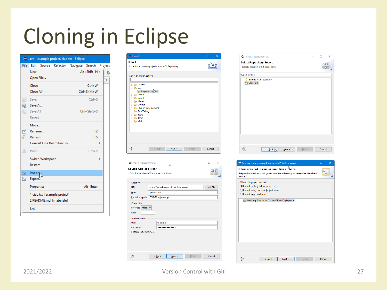## Cloning in Eclipse

| File    | Edit                        |  |                                                         | Source Refactor Navigate Search Project |                        |   |  |
|---------|-----------------------------|--|---------------------------------------------------------|-----------------------------------------|------------------------|---|--|
|         | New<br>Open File            |  |                                                         |                                         | $Alt + Shift + N$      | 袀 |  |
|         | Close<br><b>Close All</b>   |  |                                                         |                                         | Ctrl+W<br>Ctrl+Shift+W |   |  |
| H       | Save<br>Save As             |  |                                                         |                                         | $Ctrl + S$             |   |  |
|         | save All<br>Revert          |  |                                                         |                                         | $Ctrl + Shift + S$     |   |  |
|         | Move<br>Rename              |  |                                                         |                                         | F <sub>2</sub>         |   |  |
| M<br>E. | Refresh                     |  | <b>Convert Line Delimiters To</b>                       |                                         | F <sub>5</sub>         | ⋟ |  |
| ê       | Print                       |  |                                                         |                                         | $Ctrl + P$             |   |  |
|         | Switch Workspace<br>Restart |  |                                                         |                                         |                        | ⋟ |  |
| è<br>Ņ  | Import,<br>Export           |  |                                                         |                                         |                        |   |  |
|         | Properties                  |  |                                                         |                                         | Alt+Enter              |   |  |
|         |                             |  | 1 ciao.txt [example project]<br>2 README.md [materiale] |                                         |                        |   |  |
|         | Exit                        |  |                                                         |                                         |                        |   |  |



 $\circledR$ 

 $\frac{1}{2}$  < Back

|                  | <b>Select a location of Git Repositories</b> |      |        | G I    |
|------------------|----------------------------------------------|------|--------|--------|
| type filter text |                                              |      |        |        |
| п<br>Clone URI   | <b>Existing local repository</b>             |      |        |        |
|                  |                                              |      |        |        |
|                  |                                              |      |        |        |
|                  |                                              |      |        |        |
|                  |                                              |      |        |        |
|                  |                                              |      |        |        |
|                  |                                              |      |        |        |
|                  |                                              |      |        |        |
|                  |                                              |      |        |        |
|                  |                                              |      |        |        |
|                  |                                              |      |        |        |
|                  |                                              |      |        |        |
| $\circledR$      | $\leq$ Back $\sum$                           | Next | Einish | Cancel |
|                  |                                              |      |        |        |

| □ Cloning from https://github.com/TdP-2016/prova.git                                   |        |  |
|----------------------------------------------------------------------------------------|--------|--|
| Select a wizard to use for importing prosects                                          | GIT    |  |
| Depending on the wizard, you may select a directory to determine the wizard's<br>scope |        |  |
| Wizard for project import                                                              |        |  |
| Import gxisting Eclipse projects                                                       |        |  |
| $\bigcirc$ Import using the New Project wizard                                         |        |  |
| $\bigcirc$ Import as general project                                                   |        |  |
| Working Directory - C:\Users\Fulvio\git\prova                                          |        |  |
|                                                                                        |        |  |
|                                                                                        |        |  |
|                                                                                        |        |  |
|                                                                                        |        |  |
|                                                                                        |        |  |
|                                                                                        |        |  |
|                                                                                        |        |  |
|                                                                                        |        |  |
|                                                                                        |        |  |
|                                                                                        |        |  |
|                                                                                        |        |  |
|                                                                                        |        |  |
|                                                                                        |        |  |
| Finish<br>< Back<br>Next >                                                             | Cancel |  |
|                                                                                        |        |  |

**Einish** 

Cancel

 $N$ ext >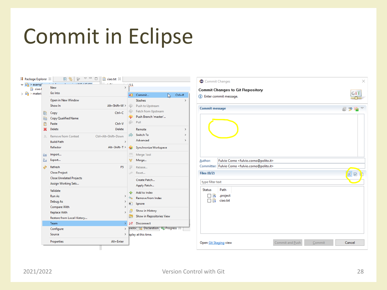## Commit in Eclipse

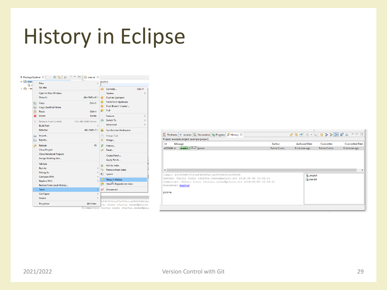## History in Eclipse



|           | <b>Problems</b> @ Javadoc <b>Q</b> Declaration <b>T</b> Progress <b>P</b> History $\otimes$   |                     | ◆今日   © - Q   0 ⊅ ⊅ 1   日 ☆ ▽ □ □ |                    |                       |
|-----------|-----------------------------------------------------------------------------------------------|---------------------|-----------------------------------|--------------------|-----------------------|
|           | Project: example project [example project]                                                    |                     |                                   |                    |                       |
| Id        | Message                                                                                       | Author              | <b>Authored Date</b>              | Committer          | <b>Committed Date</b> |
| e223b94 o | master HEAD prova                                                                             | <b>Fulvio Corno</b> | 6 minutes ago                     | <b>Fulvio Como</b> | 6 minutes ago         |
|           |                                                                                               |                     |                                   |                    |                       |
|           |                                                                                               |                     |                                   |                    |                       |
|           |                                                                                               |                     |                                   |                    |                       |
|           |                                                                                               |                     |                                   |                    |                       |
| $\langle$ |                                                                                               |                     |                                   |                    |                       |
|           | commit e223b94b721b1af5e38fe1ca28243d02cbc88392                                               |                     | X. project                        |                    |                       |
|           | Author: Fulvio Corno <fulvio.corno@polito.it> 2016-03-08 10:45:21</fulvio.corno@polito.it>    |                     | ciao.txt                          |                    |                       |
|           | Committer: Fulvio Corno <fulvio.corno@polito.it> 2016-03-08 10:45:21</fulvio.corno@polito.it> |                     |                                   |                    |                       |
|           | Branches: master                                                                              |                     |                                   |                    |                       |
| prova     |                                                                                               |                     |                                   |                    |                       |
|           |                                                                                               |                     |                                   |                    |                       |
|           |                                                                                               |                     |                                   |                    |                       |
|           |                                                                                               |                     |                                   |                    |                       |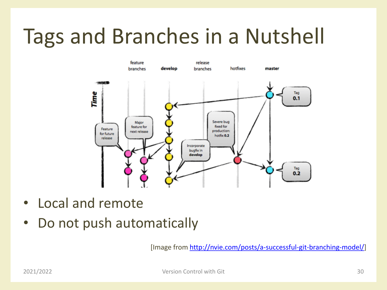## Tags and Branches in a Nutshell



- Local and remote
- Do not push automatically

[Image from<http://nvie.com/posts/a-successful-git-branching-model/>]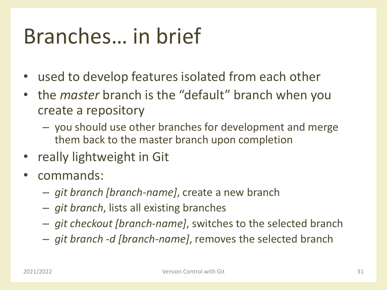## Branches… in brief

- used to develop features isolated from each other
- the *master* branch is the "default" branch when you create a repository
	- you should use other branches for development and merge them back to the master branch upon completion
- really lightweight in Git
- commands:
	- *git branch [branch-name]*, create a new branch
	- *git branch*, lists all existing branches
	- *git checkout [branch-name]*, switches to the selected branch
	- *git branch -d [branch-name]*, removes the selected branch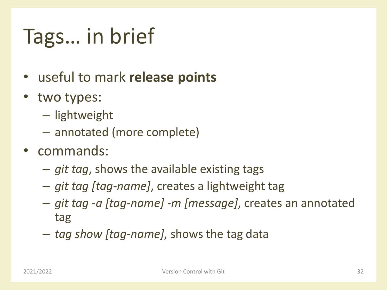# Tags… in brief

- useful to mark **release points**
- two types:
	- lightweight
	- annotated (more complete)
- commands:
	- *git tag*, shows the available existing tags
	- *git tag [tag-name]*, creates a lightweight tag
	- *git tag -a [tag-name] -m [message]*, creates an annotated tag
	- *tag show [tag-name]*, shows the tag data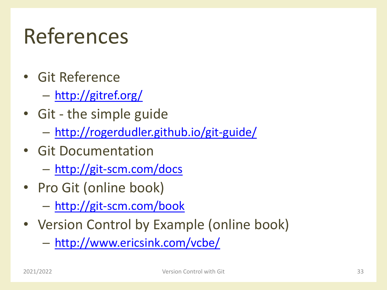## References

- Git Reference
	- <http://gitref.org/>
- Git the simple guide
	- <http://rogerdudler.github.io/git-guide/>
- Git Documentation
	- <http://git-scm.com/docs>
- Pro Git (online book)
	- <http://git-scm.com/book>
- Version Control by Example (online book)

– <http://www.ericsink.com/vcbe/>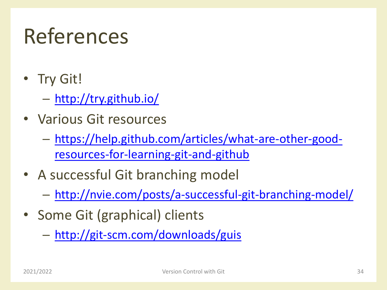## References

- Try Git!
	- <http://try.github.io/>
- Various Git resources
	- [https://help.github.com/articles/what-are-other-good](https://help.github.com/articles/what-are-other-good-resources-for-learning-git-and-github)resources-for-learning-git-and-github
- A successful Git branching model
	- <http://nvie.com/posts/a-successful-git-branching-model/>
- Some Git (graphical) clients
	- <http://git-scm.com/downloads/guis>